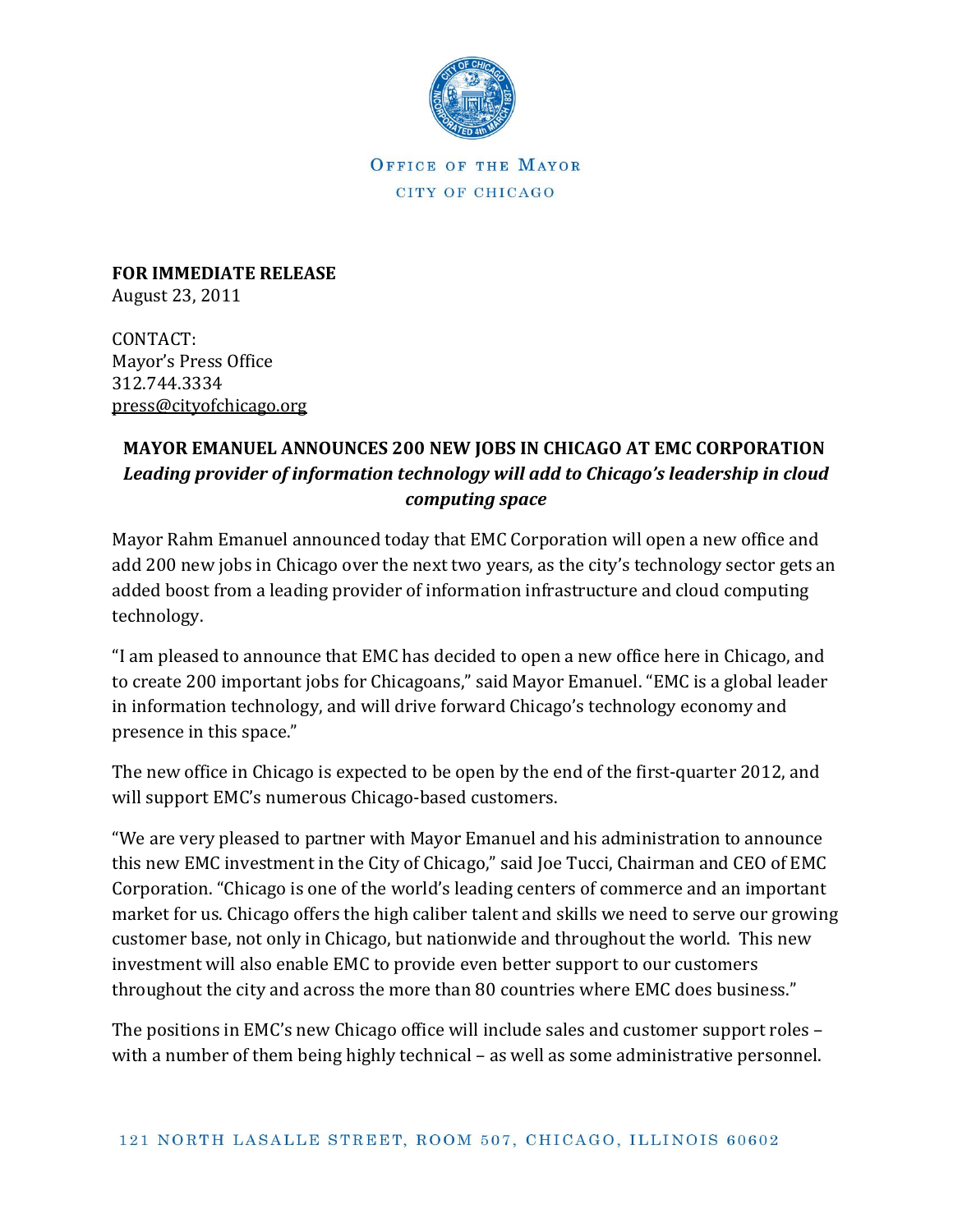

OFFICE OF THE MAYOR CITY OF CHICAGO

**FOR IMMEDIATE RELEASE** August 23, 2011

CONTACT: Mayor's Press Office 312.744.3334 [press@cityofchicago.org](mailto:press@cityofchicago.org)

## **MAYOR EMANUEL ANNOUNCES 200 NEW JOBS IN CHICAGO AT EMC CORPORATION** *Leading provider of information technology will add to Chicago's leadership in cloud computing space*

Mayor Rahm Emanuel announced today that EMC Corporation will open a new office and add 200 new jobs in Chicago over the next two years, as the city's technology sector gets an added boost from a leading provider of information infrastructure and cloud computing technology.

"I am pleased to announce that EMC has decided to open a new office here in Chicago, and to create 200 important jobs for Chicagoans," said Mayor Emanuel. "EMC is a global leader in information technology, and will drive forward Chicago's technology economy and presence in this space."

The new office in Chicago is expected to be open by the end of the first-quarter 2012, and will support EMC's numerous Chicago-based customers.

"We are very pleased to partner with Mayor Emanuel and his administration to announce this new EMC investment in the City of Chicago," said Joe Tucci, Chairman and CEO of EMC Corporation. "Chicago is one of the world's leading centers of commerce and an important market for us. Chicago offers the high caliber talent and skills we need to serve our growing customer base, not only in Chicago, but nationwide and throughout the world. This new investment will also enable EMC to provide even better support to our customers throughout the city and across the more than 80 countries where EMC does business."

The positions in EMC's new Chicago office will include sales and customer support roles – with a number of them being highly technical – as well as some administrative personnel.